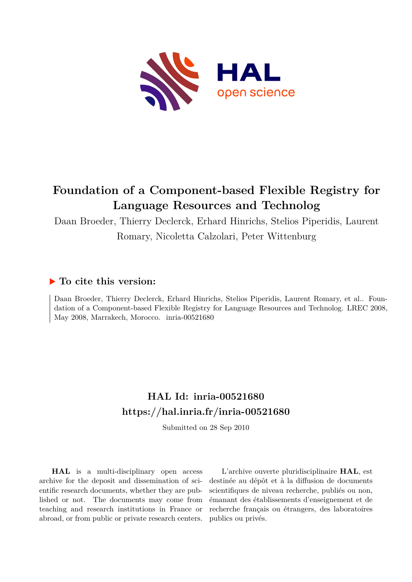

## **Foundation of a Component-based Flexible Registry for Language Resources and Technolog**

Daan Broeder, Thierry Declerck, Erhard Hinrichs, Stelios Piperidis, Laurent

Romary, Nicoletta Calzolari, Peter Wittenburg

### **To cite this version:**

Daan Broeder, Thierry Declerck, Erhard Hinrichs, Stelios Piperidis, Laurent Romary, et al.. Foundation of a Component-based Flexible Registry for Language Resources and Technolog. LREC 2008, May 2008, Marrakech, Morocco. inria-00521680

## **HAL Id: inria-00521680 <https://hal.inria.fr/inria-00521680>**

Submitted on 28 Sep 2010

**HAL** is a multi-disciplinary open access archive for the deposit and dissemination of scientific research documents, whether they are published or not. The documents may come from teaching and research institutions in France or abroad, or from public or private research centers.

L'archive ouverte pluridisciplinaire **HAL**, est destinée au dépôt et à la diffusion de documents scientifiques de niveau recherche, publiés ou non, émanant des établissements d'enseignement et de recherche français ou étrangers, des laboratoires publics ou privés.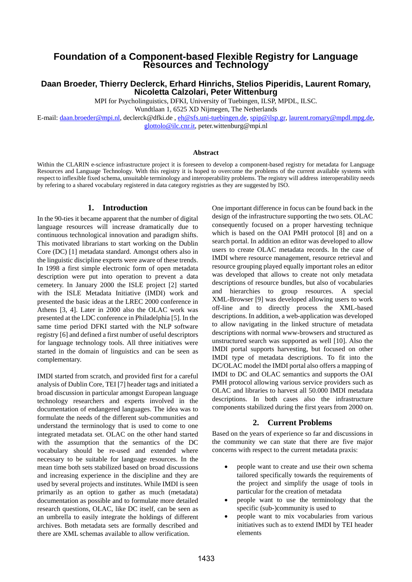# **Foundation of a Component-based Flexible Registry for Language Resources and Technology**

#### **Daan Broeder, Thierry Declerck, Erhard Hinrichs, Stelios Piperidis, Laurent Romary, Nicoletta Calzolari, Peter Wittenburg**

MPI for Psycholinguistics, DFKI, University of Tuebingen, ILSP, MPDL, ILSC.

Wundtlaan 1, 6525 XD Nijmegen, The Netherlands

E-mail: [daan.broeder@mpi.nl](mailto:daan.broeder@mpi.nl), declerck@dfki.de , [eh@sfs.uni-tuebingen.de,](mailto:eh@sfs.uni-tuebingen.de) [spip@ilsp.gr,](mailto:spip@ilsp.gr) [laurent.romary@mpdl.mpg.de,](mailto:laurent.romary@mpdl.mpg.de) [glottolo@ilc.cnr.it,](mailto:glottolo@ilc.cnr.it) peter.wittenburg@mpi.nl

#### **Abstract**

Within the CLARIN e-science infrastructure project it is foreseen to develop a component-based registry for metadata for Language Resources and Language Technology. With this registry it is hoped to overcome the problems of the current available systems with respect to inflexible fixed schema, unsuitable terminology and interoperability problems. The registry will address interoperability needs by refering to a shared vocabulary registered in data category registries as they are suggested by ISO.

#### **1. Introduction**

In the 90-ties it became apparent that the number of digital language resources will increase dramatically due to continuous technological innovation and paradigm shifts. This motivated librarians to start working on the Dublin Core (DC) [1] metadata standard. Amongst others also in the linguistic discipline experts were aware of these trends. In 1998 a first simple electronic form of open metadata description were put into operation to prevent a data cemetery. In January 2000 the ISLE project [2] started with the ISLE Metadata Initiative (IMDI) work and presented the basic ideas at the LREC 2000 conference in Athens [3, 4]. Later in 2000 also the OLAC work was presented at the LDC conference in Philadelphia [5]. In the same time period DFKI started with the NLP software registry [6] and defined a first number of useful descriptors for language technology tools. All three initiatives were started in the domain of linguistics and can be seen as complementary.

IMDI started from scratch, and provided first for a careful analysis of Dublin Core, TEI [7] header tags and initiated a broad discussion in particular amongst European language technology researchers and experts involved in the documentation of endangered languages. The idea was to formulate the needs of the different sub-communities and understand the terminology that is used to come to one integrated metadata set. OLAC on the other hand started with the assumption that the semantics of the DC vocabulary should be re-used and extended where necessary to be suitable for language resources. In the mean time both sets stabilized based on broad discussions and increasing experience in the discipline and they are used by several projects and institutes. While IMDI is seen primarily as an option to gather as much (metadata) documentation as possible and to formulate more detailed research questions, OLAC, like DC itself, can be seen as an umbrella to easily integrate the holdings of different archives. Both metadata sets are formally described and there are XML schemas available to allow verification.

One important difference in focus can be found back in the design of the infrastructure supporting the two sets. OLAC consequently focused on a proper harvesting technique which is based on the OAI PMH protocol [8] and on a search portal. In addition an editor was developed to allow users to create OLAC metadata records. In the case of IMDI where resource management, resource retrieval and resource grouping played equally important roles an editor was developed that allows to create not only metadata descriptions of resource bundles, but also of vocabularies and hierarchies to group resources. A special XML-Browser [9] was developed allowing users to work off-line and to directly process the XML-based descriptions. In addition, a web-application was developed to allow navigating in the linked structure of metadata descriptions with normal www-browsers and structured as unstructured search was supported as well [10]. Also the IMDI portal supports harvesting, but focused on other IMDI type of metadata descriptions. To fit into the DC/OLAC model the IMDI portal also offers a mapping of IMDI to DC and OLAC semantics and supports the OAI PMH protocol allowing various service providers such as OLAC and libraries to harvest all 50.000 IMDI metadata descriptions. In both cases also the infrastructure components stabilized during the first years from 2000 on.

#### **2. Current Problems**

Based on the years of experience so far and discussions in the community we can state that there are five major concerns with respect to the current metadata praxis:

- people want to create and use their own schema tailored specifically towards the requirements of the project and simplify the usage of tools in particular for the creation of metadata
- people want to use the terminology that the specific (sub-)community is used to
- people want to mix vocabularies from various initiatives such as to extend IMDI by TEI header elements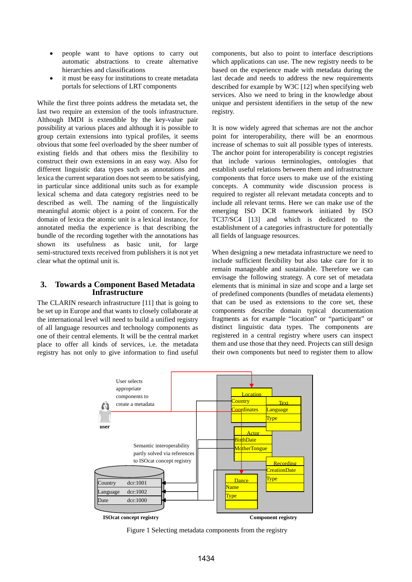- people want to have options to carry out automatic abstractions to create alternative hierarchies and classifications
- it must be easy for institutions to create metadata portals for selections of LRT components

While the first three points address the metadata set, the last two require an extension of the tools infrastructure. Although IMDI is extendible by the key-value pair possibility at various places and although it is possible to group certain extensions into typical profiles, it seems obvious that some feel overloaded by the sheer number of existing fields and that others miss the flexibility to construct their own extensions in an easy way. Also for different linguistic data types such as annotations and lexica the current separation does not seem to be satisfying, in particular since additional units such as for example lexical schema and data category registries need to be described as well. The naming of the linguistically meaningful atomic object is a point of concern. For the domain of lexica the atomic unit is a lexical instance, for annotated media the experience is that describing the bundle of the recording together with the annotations has shown its usefulness as basic unit, for large semi-structured texts received from publishers it is not yet clear what the optimal unit is.

#### **3. Towards a Component Based Metadata Infrastructure**

The CLARIN research infrastructure [11] that is going to be set up in Europe and that wants to closely collaborate at the international level will need to build a unified registry of all language resources and technology components as one of their central elements. It will be the central market place to offer all kinds of services, i.e. the metadata registry has not only to give information to find useful

components, but also to point to interface descriptions which applications can use. The new registry needs to be based on the experience made with metadata during the last decade and needs to address the new requirements described for example by W3C [12] when specifying web services. Also we need to bring in the knowledge about unique and persistent identifiers in the setup of the new registry.

It is now widely agreed that schemas are not the anchor point for interoperability, there will be an enormous increase of schemas to suit all possible types of interests. The anchor point for interoperability is concept registries that include various terminologies, ontologies that establish useful relations between them and infrastructure components that force users to make use of the existing concepts. A community wide discussion process is required to register all relevant metadata concepts and to include all relevant terms. Here we can make use of the emerging ISO DCR framework initiated by ISO TC37/SC4 [13] and which is dedicated to the establishment of a categories infrastructure for potentially all fields of language resources.

When designing a new metadata infrastructure we need to include sufficient flexibility but also take care for it to remain manageable and sustainable. Therefore we can envisage the following strategy. A core set of metadata elements that is minimal in size and scope and a large set of predefined components (bundles of metadata elements) that can be used as extensions to the core set, these components describe domain typical documentation fragments as for example "location" or "participant" or distinct linguistic data types. The components are registered in a central registry where users can inspect them and use those that they need. Projects can still design their own components but need to register them to allow



Figure 1 Selecting metadata components from the registry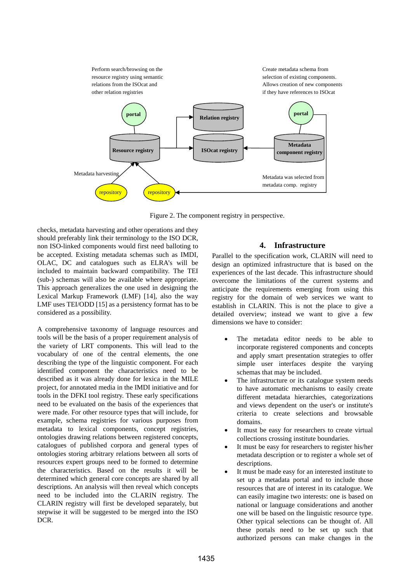

Figure 2. The component registry in perspective.

checks, metadata harvesting and other operations and they should preferably link their terminology to the ISO DCR, non ISO-linked components would first need balloting to be accepted. Existing metadata schemas such as IMDI, OLAC, DC and catalogues such as ELRA's will be included to maintain backward compatibility. The TEI (sub-) schemas will also be available where appropriate. This approach generalizes the one used in designing the Lexical Markup Framework (LMF) [14], also the way LMF uses TEI/ODD [15] as a persistency format has to be considered as a possibility.

A comprehensive taxonomy of language resources and tools will be the basis of a proper requirement analysis of the variety of LRT components. This will lead to the vocabulary of one of the central elements, the one describing the type of the linguistic component. For each identified component the characteristics need to be described as it was already done for lexica in the MILE project, for annotated media in the IMDI initiative and for tools in the DFKI tool registry. These early specifications need to be evaluated on the basis of the experiences that were made. For other resource types that will include, for example, schema registries for various purposes from metadata to lexical components, concept registries, ontologies drawing relations between registered concepts, catalogues of published corpora and general types of ontologies storing arbitrary relations between all sorts of resources expert groups need to be formed to determine the characteristics. Based on the results it will be determined which general core concepts are shared by all descriptions. An analysis will then reveal which concepts need to be included into the CLARIN registry. The CLARIN registry will first be developed separately, but stepwise it will be suggested to be merged into the ISO DCR.

#### **4. Infrastructure**

Parallel to the specification work, CLARIN will need to design an optimized infrastructure that is based on the experiences of the last decade. This infrastructure should overcome the limitations of the current systems and anticipate the requirements emerging from using this registry for the domain of web services we want to establish in CLARIN. This is not the place to give a detailed overview; instead we want to give a few dimensions we have to consider:

- The metadata editor needs to be able to incorporate registered components and concepts and apply smart presentation strategies to offer simple user interfaces despite the varying schemas that may be included.
- The infrastructure or its catalogue system needs to have automatic mechanisms to easily create different metadata hierarchies, categorizations and views dependent on the user's or institute's criteria to create selections and browsable domains.
- It must be easy for researchers to create virtual collections crossing institute boundaries.
- It must be easy for researchers to register his/her metadata description or to register a whole set of descriptions.
- It must be made easy for an interested institute to set up a metadata portal and to include those resources that are of interest in its catalogue. We can easily imagine two interests: one is based on national or language considerations and another one will be based on the linguistic resource type. Other typical selections can be thought of. All these portals need to be set up such that authorized persons can make changes in the